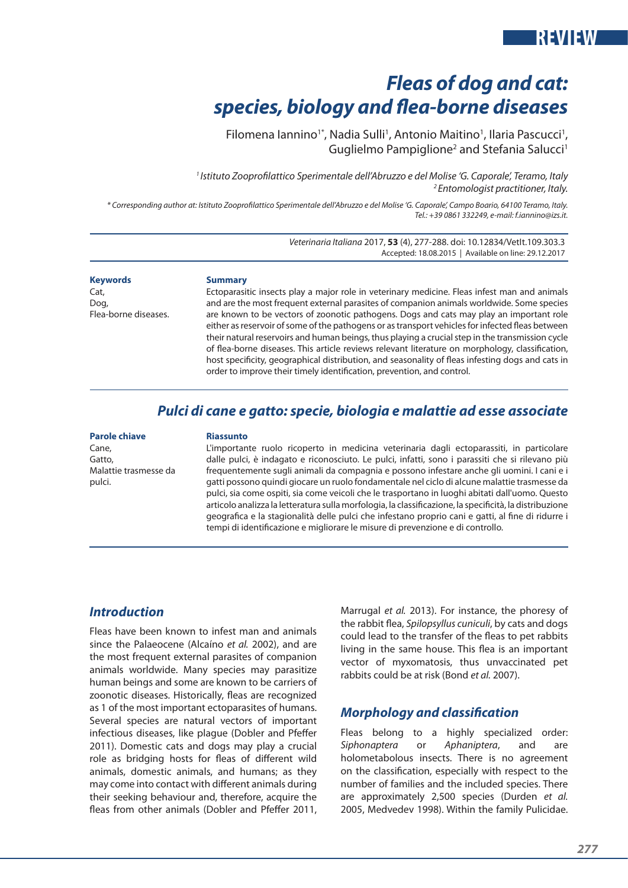# *Fleas of dog and cat: species, biology and flea-borne diseases*

Filomena lannino<sup>1\*</sup>, Nadia Sulli<sup>1</sup>, Antonio Maitino<sup>1</sup>, Ilaria Pascucci<sup>1</sup>, Guglielmo Pampiglione<sup>2</sup> and Stefania Salucci<sup>1</sup>

*1 Istituto Zooprofilattico Sperimentale dell'Abruzzo e del Molise 'G. Caporale', Teramo, Italy 2 Entomologist practitioner, Italy.*

*\* Corresponding author at: Istituto Zooprofilattico Sperimentale dell'Abruzzo e del Molise 'G. Caporale', Campo Boario, 64100 Teramo, Italy. Tel.: +39 0861 332249, e-mail: f.iannino@izs.it.* 

> *Veterinaria Italiana* 2017, **53** (4), 277-288. doi: 10.12834/VetIt.109.303.3 Accepted: 18.08.2015 | Available on line: 29.12.2017

**Keywords** Cat, Dog, Flea-borne diseases.

#### **Summary**

Ectoparasitic insects play a major role in veterinary medicine. Fleas infest man and animals and are the most frequent external parasites of companion animals worldwide. Some species are known to be vectors of zoonotic pathogens. Dogs and cats may play an important role either as reservoir of some of the pathogens or as transport vehicles for infected fleas between their natural reservoirs and human beings, thus playing a crucial step in the transmission cycle of flea-borne diseases. This article reviews relevant literature on morphology, classification, host specificity, geographical distribution, and seasonality of fleas infesting dogs and cats in order to improve their timely identification, prevention, and control.

### *Pulci di cane e gatto: specie, biologia e malattie ad esse associate*

#### **Parole chiave**

Cane, Gatto, Malattie trasmesse da pulci.

#### **Riassunto**

L'importante ruolo ricoperto in medicina veterinaria dagli ectoparassiti, in particolare dalle pulci, è indagato e riconosciuto. Le pulci, infatti, sono i parassiti che si rilevano più frequentemente sugli animali da compagnia e possono infestare anche gli uomini. I cani e i gatti possono quindi giocare un ruolo fondamentale nel ciclo di alcune malattie trasmesse da pulci, sia come ospiti, sia come veicoli che le trasportano in luoghi abitati dall'uomo. Questo articolo analizza la letteratura sulla morfologia, la classificazione, la specificità, la distribuzione geografica e la stagionalità delle pulci che infestano proprio cani e gatti, al fine di ridurre i tempi di identificazione e migliorare le misure di prevenzione e di controllo.

#### *Introduction*

Fleas have been known to infest man and animals since the Palaeocene (Alcaíno *et al.* 2002), and are the most frequent external parasites of companion animals worldwide. Many species may parasitize human beings and some are known to be carriers of zoonotic diseases. Historically, fleas are recognized as 1 of the most important ectoparasites of humans. Several species are natural vectors of important infectious diseases, like plague (Dobler and Pfeffer 2011). Domestic cats and dogs may play a crucial role as bridging hosts for fleas of different wild animals, domestic animals, and humans; as they may come into contact with different animals during their seeking behaviour and, therefore, acquire the fleas from other animals (Dobler and Pfeffer 2011, Marrugal *et al.* 2013). For instance, the phoresy of the rabbit flea, *Spilopsyllus cuniculi*, by cats and dogs could lead to the transfer of the fleas to pet rabbits living in the same house. This flea is an important vector of myxomatosis, thus unvaccinated pet rabbits could be at risk (Bond *et al.* 2007).

#### *Morphology and classification*

Fleas belong to a highly specialized order: *Siphonaptera* or *Aphaniptera*, and are holometabolous insects. There is no agreement on the classification, especially with respect to the number of families and the included species. There are approximately 2,500 species (Durden *et al.* 2005, Medvedev 1998). Within the family Pulicidae.

**REVIEW**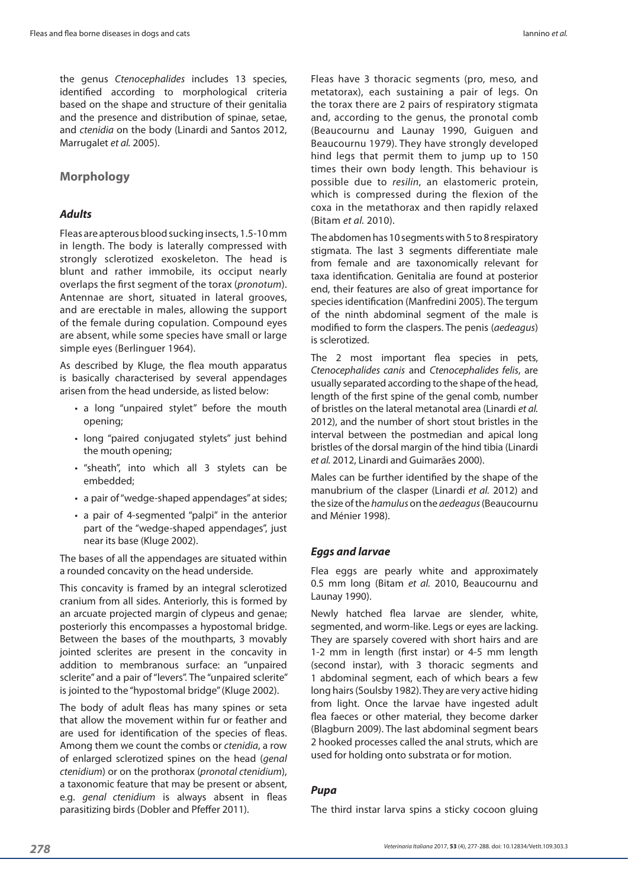the genus *Ctenocephalides* includes 13 species, identified according to morphological criteria based on the shape and structure of their genitalia and the presence and distribution of spinae, setae, and *ctenidia* on the body (Linardi and Santos 2012, Marrugalet *et al.* 2005).

#### **Morphology**

#### *Adults*

Fleas are apterous blood sucking insects, 1.5-10 mm in length. The body is laterally compressed with strongly sclerotized exoskeleton. The head is blunt and rather immobile, its occiput nearly overlaps the first segment of the torax (*pronotum*). Antennae are short, situated in lateral grooves, and are erectable in males, allowing the support of the female during copulation. Compound eyes are absent, while some species have small or large simple eyes (Berlinguer 1964).

As described by Kluge, the flea mouth apparatus is basically characterised by several appendages arisen from the head underside, as listed below:

- a long "unpaired stylet" before the mouth opening;
- long "paired conjugated stylets" just behind the mouth opening;
- • "sheath", into which all 3 stylets can be embedded;
- a pair of "wedge-shaped appendages" at sides;
- a pair of 4-segmented "palpi" in the anterior part of the "wedge-shaped appendages", just near its base (Kluge 2002).

The bases of all the appendages are situated within a rounded concavity on the head underside.

This concavity is framed by an integral sclerotized cranium from all sides. Anteriorly, this is formed by an arcuate projected margin of clypeus and genae; posteriorly this encompasses a hypostomal bridge. Between the bases of the mouthparts, 3 movably jointed sclerites are present in the concavity in addition to membranous surface: an "unpaired sclerite" and a pair of "levers". The "unpaired sclerite" is jointed to the "hypostomal bridge" (Kluge 2002).

The body of adult fleas has many spines or seta that allow the movement within fur or feather and are used for identification of the species of fleas. Among them we count the combs or *ctenidia*, a row of enlarged sclerotized spines on the head (*genal ctenidium*) or on the prothorax (*pronotal ctenidium*), a taxonomic feature that may be present or absent, e.g. *genal ctenidium* is always absent in fleas parasitizing birds (Dobler and Pfeffer 2011).

Fleas have 3 thoracic segments (pro, meso, and metatorax), each sustaining a pair of legs. On the torax there are 2 pairs of respiratory stigmata and, according to the genus, the pronotal comb (Beaucournu and Launay 1990, Guiguen and Beaucournu 1979). They have strongly developed hind legs that permit them to jump up to 150 times their own body length. This behaviour is possible due to *resilin*, an elastomeric protein, which is compressed during the flexion of the coxa in the metathorax and then rapidly relaxed (Bitam *et al.* 2010).

The abdomen has 10 segments with 5 to 8 respiratory stigmata. The last 3 segments differentiate male from female and are taxonomically relevant for taxa identification. Genitalia are found at posterior end, their features are also of great importance for species identification (Manfredini 2005). The tergum of the ninth abdominal segment of the male is modified to form the claspers. The penis (*aedeagus*) is sclerotized.

The 2 most important flea species in pets, *Ctenocephalides canis* and *Ctenocephalides felis*, are usually separated according to the shape of the head, length of the first spine of the genal comb, number of bristles on the lateral metanotal area (Linardi *et al.* 2012), and the number of short stout bristles in the interval between the postmedian and apical long bristles of the dorsal margin of the hind tibia (Linardi *et al.* 2012, Linardi and Guimarães 2000).

Males can be further identified by the shape of the manubrium of the clasper (Linardi *et al.* 2012) and the size of the *hamulus* on the *aedeagus* (Beaucournu and Ménier 1998).

#### *Eggs and larvae*

Flea eggs are pearly white and approximately 0.5 mm long (Bitam *et al.* 2010, Beaucournu and Launay 1990).

Newly hatched flea larvae are slender, white, segmented, and worm-like. Legs or eyes are lacking. They are sparsely covered with short hairs and are 1-2 mm in length (first instar) or 4-5 mm length (second instar), with 3 thoracic segments and 1 abdominal segment, each of which bears a few long hairs (Soulsby 1982). They are very active hiding from light. Once the larvae have ingested adult flea faeces or other material, they become darker (Blagburn 2009). The last abdominal segment bears 2 hooked processes called the anal struts, which are used for holding onto substrata or for motion.

#### *Pupa*

The third instar larva spins a sticky cocoon gluing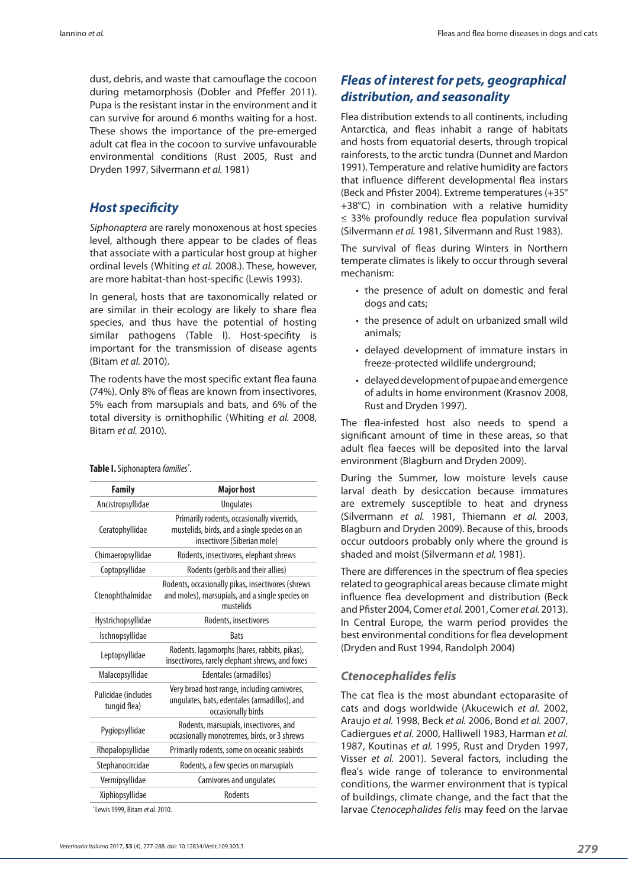dust, debris, and waste that camouflage the cocoon during metamorphosis (Dobler and Pfeffer 2011). Pupa is the resistant instar in the environment and it can survive for around 6 months waiting for a host. These shows the importance of the pre-emerged adult cat flea in the cocoon to survive unfavourable environmental conditions (Rust 2005, Rust and Dryden 1997, Silvermann *et al.* 1981)

### *Host specificity*

*Siphonaptera* are rarely monoxenous at host species level, although there appear to be clades of fleas that associate with a particular host group at higher ordinal levels (Whiting *et al.* 2008.). These, however, are more habitat-than host-specific (Lewis 1993).

In general, hosts that are taxonomically related or are similar in their ecology are likely to share flea species, and thus have the potential of hosting similar pathogens (Table I). Host-specifity is important for the transmission of disease agents (Bitam *et al.* 2010).

The rodents have the most specific extant flea fauna (74%). Only 8% of fleas are known from insectivores, 5% each from marsupials and bats, and 6% of the total diversity is ornithophilic (Whiting *et al.* 2008, Bitam *et al.* 2010).

#### **Table I.**Siphonaptera *families\* .*

| <b>Family</b>                       | <b>Major host</b>                                                                                                         |  |
|-------------------------------------|---------------------------------------------------------------------------------------------------------------------------|--|
| Ancistropsyllidae                   | <b>Ungulates</b>                                                                                                          |  |
| Ceratophyllidae                     | Primarily rodents, occasionally viverrids,<br>mustelids, birds, and a single species on an<br>insectivore (Siberian mole) |  |
| Chimaeropsyllidae                   | Rodents, insectivores, elephant shrews                                                                                    |  |
| Coptopsyllidae                      | Rodents (gerbils and their allies)                                                                                        |  |
| Ctenophthalmidae                    | Rodents, occasionally pikas, insectivores (shrews<br>and moles), marsupials, and a single species on<br>mustelids         |  |
| Hystrichopsyllidae                  | Rodents, insectivores                                                                                                     |  |
| Ischnopsyllidae                     | <b>Bats</b>                                                                                                               |  |
| Leptopsyllidae                      | Rodents, lagomorphs (hares, rabbits, pikas),<br>insectivores, rarely elephant shrews, and foxes                           |  |
| Malacopsyllidae                     | Edentales (armadillos)                                                                                                    |  |
| Pulicidae (includes<br>tungid flea) | Very broad host range, including carnivores,<br>ungulates, bats, edentales (armadillos), and<br>occasionally birds        |  |
| Pygiopsyllidae                      | Rodents, marsupials, insectivores, and<br>occasionally monotremes, birds, or 3 shrews                                     |  |
| Rhopalopsyllidae                    | Primarily rodents, some on oceanic seabirds                                                                               |  |
| Stephanocircidae                    | Rodents, a few species on marsupials                                                                                      |  |
| Vermipsyllidae                      | Carnivores and ungulates                                                                                                  |  |
| Xiphiopsyllidae                     | <b>Rodents</b>                                                                                                            |  |

\* Lewis 1999, Bitam *et al.* 2010.

## *Fleas of interest for pets, geographical distribution, and seasonality*

Flea distribution extends to all continents, including Antarctica, and fleas inhabit a range of habitats and hosts from equatorial deserts, through tropical rainforests, to the arctic tundra (Dunnet and Mardon 1991). Temperature and relative humidity are factors that influence different developmental flea instars (Beck and Pfister 2004). Extreme temperatures (+35° +38°C) in combination with a relative humidity ≤ 33% profoundly reduce flea population survival (Silvermann *et al.* 1981, Silvermann and Rust 1983).

The survival of fleas during Winters in Northern temperate climates is likely to occur through several mechanism:

- the presence of adult on domestic and feral dogs and cats;
- the presence of adult on urbanized small wild animals;
- • delayed development of immature instars in freeze-protected wildlife underground;
- • delayed development of pupae and emergence of adults in home environment (Krasnov 2008, Rust and Dryden 1997).

The flea-infested host also needs to spend a significant amount of time in these areas, so that adult flea faeces will be deposited into the larval environment (Blagburn and Dryden 2009).

During the Summer, low moisture levels cause larval death by desiccation because immatures are extremely susceptible to heat and dryness (Silvermann *et al.* 1981, Thiemann *et al.* 2003, Blagburn and Dryden 2009). Because of this, broods occur outdoors probably only where the ground is shaded and moist (Silvermann *et al.* 1981).

There are differences in the spectrum of flea species related to geographical areas because climate might influence flea development and distribution (Beck and Pfister 2004, Comer *et al.* 2001, Comer *et al.* 2013). In Central Europe, the warm period provides the best environmental conditions for flea development (Dryden and Rust 1994, Randolph 2004)

#### *Ctenocephalides felis*

The cat flea is the most abundant ectoparasite of cats and dogs worldwide (Akucewich *et al.* 2002, Araujo *et al.* 1998, Beck *et al.* 2006, Bond *et al.* 2007, Cadiergues *et al.* 2000, Halliwell 1983, Harman *et al.* 1987, Koutinas *et al.* 1995, Rust and Dryden 1997, Visser *et al.* 2001). Several factors, including the flea's wide range of tolerance to environmental conditions, the warmer environment that is typical of buildings, climate change, and the fact that the larvae *Ctenocephalides felis* may feed on the larvae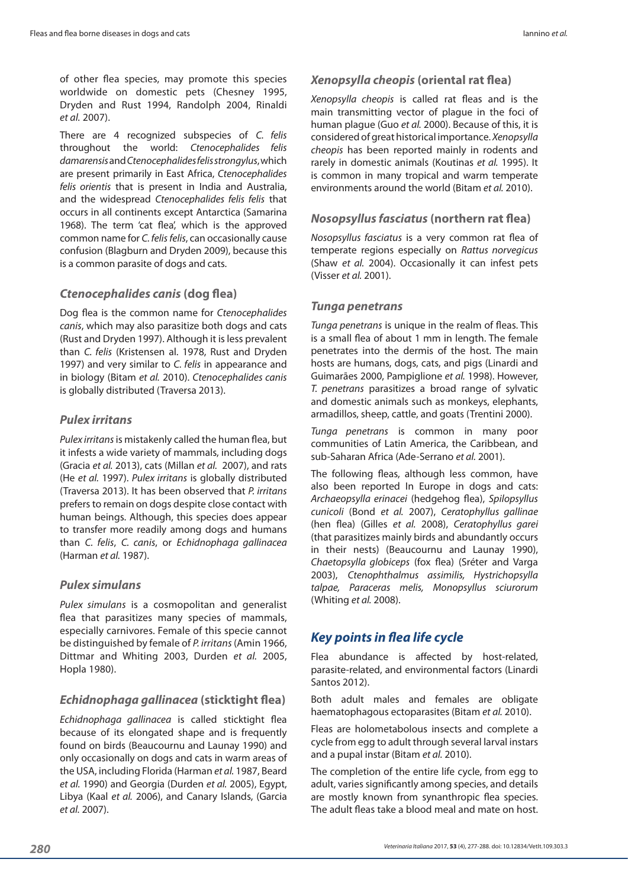of other flea species, may promote this species worldwide on domestic pets (Chesney 1995, Dryden and Rust 1994, Randolph 2004, Rinaldi *et al.* 2007).

There are 4 recognized subspecies of *C. felis* throughout the world: *Ctenocephalides felis damarensis* and *Ctenocephalides felis strongylus*, which are present primarily in East Africa, *Ctenocephalides felis orientis* that is present in India and Australia, and the widespread *Ctenocephalides felis felis* that occurs in all continents except Antarctica (Samarina 1968). The term 'cat flea', which is the approved common name for *C. felis felis*, can occasionally cause confusion (Blagburn and Dryden 2009), because this is a common parasite of dogs and cats.

#### *Ctenocephalides canis* **(dog flea)**

Dog flea is the common name for *Ctenocephalides canis*, which may also parasitize both dogs and cats (Rust and Dryden 1997). Although it is less prevalent than *C. felis* (Kristensen al. 1978, Rust and Dryden 1997) and very similar to *C. felis* in appearance and in biology (Bitam *et al.* 2010). *Ctenocephalides canis* is globally distributed (Traversa 2013).

#### *Pulex irritans*

*Pulex irritans* is mistakenly called the human flea, but it infests a wide variety of mammals, including dogs (Gracia *et al.* 2013), cats (Millan *et al.* 2007), and rats (He *et al.* 1997). *Pulex irritans* is globally distributed (Traversa 2013). It has been observed that *P. irritans* prefers to remain on dogs despite close contact with human beings. Although, this species does appear to transfer more readily among dogs and humans than *C. felis*, *C. canis*, or *Echidnophaga gallinacea*  (Harman *et al.* 1987).

#### *Pulex simulans*

*Pulex simulans* is a cosmopolitan and generalist flea that parasitizes many species of mammals, especially carnivores. Female of this specie cannot be distinguished by female of *P. irritans* (Amin 1966, Dittmar and Whiting 2003, Durden *et al.* 2005, Hopla 1980).

#### *Echidnophaga gallinacea* **(sticktight flea)**

*Echidnophaga gallinacea* is called sticktight flea because of its elongated shape and is frequently found on birds (Beaucournu and Launay 1990) and only occasionally on dogs and cats in warm areas of the USA, including Florida (Harman *et al.* 1987, Beard *et al.* 1990) and Georgia (Durden *et al.* 2005), Egypt, Libya (Kaal *et al.* 2006), and Canary Islands, (Garcia *et al.* 2007).

#### *Xenopsylla cheopis* **(oriental rat flea)**

*Xenopsylla cheopis* is called rat fleas and is the main transmitting vector of plague in the foci of human plague (Guo *et al.* 2000). Because of this, it is considered of great historical importance. *Xenopsylla cheopis* has been reported mainly in rodents and rarely in domestic animals (Koutinas *et al.* 1995). It is common in many tropical and warm temperate environments around the world (Bitam *et al.* 2010).

#### *Nosopsyllus fasciatus* **(northern rat flea)**

*Nosopsyllus fasciatus* is a very common rat flea of temperate regions especially on *Rattus norvegicus* (Shaw *et al.* 2004). Occasionally it can infest pets (Visser *et al.* 2001).

#### *Tunga penetrans*

*Tunga penetrans* is unique in the realm of fleas. This is a small flea of about 1 mm in length. The female penetrates into the dermis of the host. The main hosts are humans, dogs, cats, and pigs (Linardi and Guimarães 2000, Pampiglione *et al.* 1998). However, *T. penetrans* parasitizes a broad range of sylvatic and domestic animals such as monkeys, elephants, armadillos, sheep, cattle, and goats (Trentini 2000).

*Tunga penetrans* is common in many poor communities of Latin America, the Caribbean, and sub-Saharan Africa (Ade-Serrano *et al.* 2001).

The following fleas, although less common, have also been reported In Europe in dogs and cats: *Archaeopsylla erinacei* (hedgehog flea), *Spilopsyllus cunicoli* (Bond *et al.* 2007), *Ceratophyllus gallinae* (hen flea) (Gilles *et al.* 2008), *Ceratophyllus garei* (that parasitizes mainly birds and abundantly occurs in their nests) (Beaucournu and Launay 1990), *Chaetopsylla globiceps* (fox flea) (Sréter and Varga 2003), *Ctenophthalmus assimilis, Hystrichopsylla talpae, Paraceras melis, Monopsyllus sciurorum* (Whiting *et al.* 2008).

### *Key points in flea life cycle*

Flea abundance is affected by host-related, parasite-related, and environmental factors (Linardi Santos 2012).

Both adult males and females are obligate haematophagous ectoparasites (Bitam *et al.* 2010).

Fleas are holometabolous insects and complete a cycle from egg to adult through several larval instars and a pupal instar (Bitam *et al.* 2010).

The completion of the entire life cycle, from egg to adult, varies significantly among species, and details are mostly known from synanthropic flea species. The adult fleas take a blood meal and mate on host.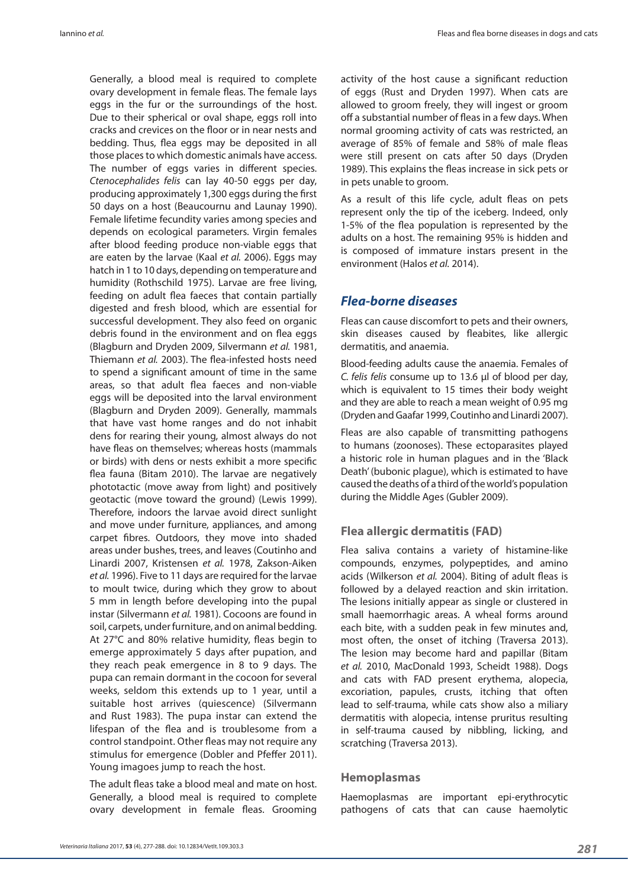Iannino *et al.* Fleas and flea borne diseases in dogs and cats

Generally, a blood meal is required to complete ovary development in female fleas. The female lays eggs in the fur or the surroundings of the host. Due to their spherical or oval shape, eggs roll into cracks and crevices on the floor or in near nests and bedding. Thus, flea eggs may be deposited in all those places to which domestic animals have access. The number of eggs varies in different species. *Ctenocephalides felis* can lay 40-50 eggs per day, producing approximately 1,300 eggs during the first 50 days on a host (Beaucournu and Launay 1990). Female lifetime fecundity varies among species and depends on ecological parameters. Virgin females after blood feeding produce non-viable eggs that are eaten by the larvae (Kaal *et al.* 2006). Eggs may hatch in 1 to 10 days, depending on temperature and humidity (Rothschild 1975). Larvae are free living, feeding on adult flea faeces that contain partially digested and fresh blood, which are essential for successful development. They also feed on organic debris found in the environment and on flea eggs (Blagburn and Dryden 2009, Silvermann *et al.* 1981, Thiemann *et al.* 2003). The flea-infested hosts need to spend a significant amount of time in the same areas, so that adult flea faeces and non-viable eggs will be deposited into the larval environment (Blagburn and Dryden 2009). Generally, mammals that have vast home ranges and do not inhabit dens for rearing their young, almost always do not have fleas on themselves; whereas hosts (mammals or birds) with dens or nests exhibit a more specific flea fauna (Bitam 2010). The larvae are negatively phototactic (move away from light) and positively geotactic (move toward the ground) (Lewis 1999). Therefore, indoors the larvae avoid direct sunlight and move under furniture, appliances, and among carpet fibres. Outdoors, they move into shaded areas under bushes, trees, and leaves (Coutinho and Linardi 2007, Kristensen *et al.* 1978, Zakson-Aiken *et al.* 1996). Five to 11 days are required for the larvae to moult twice, during which they grow to about 5 mm in length before developing into the pupal instar (Silvermann *et al.* 1981). Cocoons are found in soil, carpets, under furniture, and on animal bedding. At 27°C and 80% relative humidity, fleas begin to emerge approximately 5 days after pupation, and they reach peak emergence in 8 to 9 days. The pupa can remain dormant in the cocoon for several weeks, seldom this extends up to 1 year, until a suitable host arrives (quiescence) (Silvermann and Rust 1983). The pupa instar can extend the lifespan of the flea and is troublesome from a control standpoint. Other fleas may not require any stimulus for emergence (Dobler and Pfeffer 2011). Young imagoes jump to reach the host.

The adult fleas take a blood meal and mate on host. Generally, a blood meal is required to complete ovary development in female fleas. Grooming activity of the host cause a significant reduction of eggs (Rust and Dryden 1997). When cats are allowed to groom freely, they will ingest or groom off a substantial number of fleas in a few days. When normal grooming activity of cats was restricted, an average of 85% of female and 58% of male fleas were still present on cats after 50 days (Dryden 1989). This explains the fleas increase in sick pets or in pets unable to groom.

As a result of this life cycle, adult fleas on pets represent only the tip of the iceberg. Indeed, only 1-5% of the flea population is represented by the adults on a host. The remaining 95% is hidden and is composed of immature instars present in the environment (Halos *et al.* 2014).

#### *Flea-borne diseases*

Fleas can cause discomfort to pets and their owners, skin diseases caused by fleabites, like allergic dermatitis, and anaemia.

Blood-feeding adults cause the anaemia. Females of *C. felis felis* consume up to 13.6 μl of blood per day, which is equivalent to 15 times their body weight and they are able to reach a mean weight of 0.95 mg (Dryden and Gaafar 1999, Coutinho and Linardi 2007).

Fleas are also capable of transmitting pathogens to humans (zoonoses). These ectoparasites played a historic role in human plagues and in the 'Black Death' (bubonic plague), which is estimated to have caused the deaths of a third of the world's population during the Middle Ages (Gubler 2009).

#### **Flea allergic dermatitis (FAD)**

Flea saliva contains a variety of histamine-like compounds, enzymes, polypeptides, and amino acids (Wilkerson *et al.* 2004). Biting of adult fleas is followed by a delayed reaction and skin irritation. The lesions initially appear as single or clustered in small haemorrhagic areas. A wheal forms around each bite, with a sudden peak in few minutes and, most often, the onset of itching (Traversa 2013). The lesion may become hard and papillar (Bitam *et al.* 2010, MacDonald 1993, Scheidt 1988). Dogs and cats with FAD present erythema, alopecia, excoriation, papules, crusts, itching that often lead to self-trauma, while cats show also a miliary dermatitis with alopecia, intense pruritus resulting in self-trauma caused by nibbling, licking, and scratching (Traversa 2013).

#### **Hemoplasmas**

Haemoplasmas are important epi-erythrocytic pathogens of cats that can cause haemolytic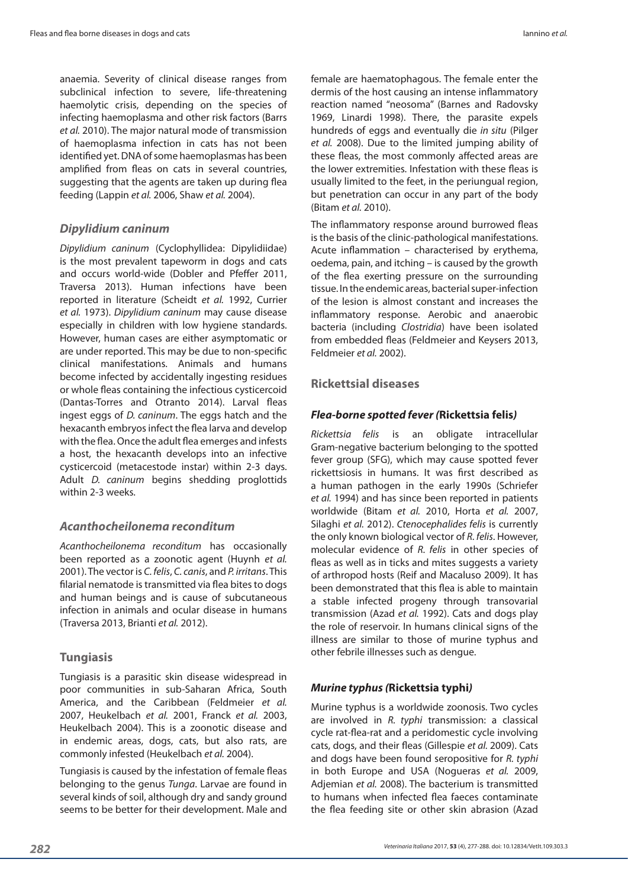anaemia. Severity of clinical disease ranges from subclinical infection to severe, life-threatening haemolytic crisis, depending on the species of infecting haemoplasma and other risk factors (Barrs *et al.* 2010). The major natural mode of transmission of haemoplasma infection in cats has not been identified yet. DNA of some haemoplasmas has been amplified from fleas on cats in several countries, suggesting that the agents are taken up during flea feeding (Lappin *et al.* 2006, Shaw *et al.* 2004).

#### *Dipylidium caninum*

*Dipylidium caninum* (Cyclophyllidea: Dipylidiidae) is the most prevalent tapeworm in dogs and cats and occurs world-wide (Dobler and Pfeffer 2011, Traversa 2013). Human infections have been reported in literature (Scheidt *et al.* 1992, Currier *et al.* 1973). *Dipylidium caninum* may cause disease especially in children with low hygiene standards. However, human cases are either asymptomatic or are under reported. This may be due to non-specific clinical manifestations. Animals and humans become infected by accidentally ingesting residues or whole fleas containing the infectious cysticercoid (Dantas-Torres and Otranto 2014). Larval fleas ingest eggs of *D. caninum*. The eggs hatch and the hexacanth embryos infect the flea larva and develop with the flea. Once the adult flea emerges and infests a host, the hexacanth develops into an infective cysticercoid (metacestode instar) within 2-3 days. Adult *D. caninum* begins shedding proglottids within 2-3 weeks.

#### *Acanthocheilonema reconditum*

*Acanthocheilonema reconditum* has occasionally been reported as a zoonotic agent (Huynh *et al.* 2001). The vector is *C. felis*, *C. canis*, and *P. irritans*. This filarial nematode is transmitted via flea bites to dogs and human beings and is cause of subcutaneous infection in animals and ocular disease in humans (Traversa 2013, Brianti *et al.* 2012).

#### **Tungiasis**

Tungiasis is a parasitic skin disease widespread in poor communities in sub-Saharan Africa, South America, and the Caribbean (Feldmeier *et al.* 2007, Heukelbach *et al.* 2001, Franck *et al.* 2003, Heukelbach 2004). This is a zoonotic disease and in endemic areas, dogs, cats, but also rats, are commonly infested (Heukelbach *et al.* 2004).

Tungiasis is caused by the infestation of female fleas belonging to the genus *Tunga*. Larvae are found in several kinds of soil, although dry and sandy ground seems to be better for their development. Male and

female are haematophagous. The female enter the dermis of the host causing an intense inflammatory reaction named "neosoma" (Barnes and Radovsky 1969, Linardi 1998). There, the parasite expels hundreds of eggs and eventually die *in situ* (Pilger *et al.* 2008). Due to the limited jumping ability of these fleas, the most commonly affected areas are the lower extremities. Infestation with these fleas is usually limited to the feet, in the periungual region, but penetration can occur in any part of the body (Bitam *et al.* 2010).

The inflammatory response around burrowed fleas is the basis of the clinic-pathological manifestations. Acute inflammation – characterised by erythema, oedema, pain, and itching – is caused by the growth of the flea exerting pressure on the surrounding tissue. In the endemic areas, bacterial super-infection of the lesion is almost constant and increases the inflammatory response. Aerobic and anaerobic bacteria (including *Clostridia*) have been isolated from embedded fleas (Feldmeier and Keysers 2013, Feldmeier *et al.* 2002).

#### **Rickettsial diseases**

#### *Flea-borne spotted fever (***Rickettsia felis***)*

*Rickettsia felis* is an obligate intracellular Gram-negative bacterium belonging to the spotted fever group (SFG), which may cause spotted fever rickettsiosis in humans. It was first described as a human pathogen in the early 1990s (Schriefer *et al.* 1994) and has since been reported in patients worldwide (Bitam *et al.* 2010, Horta *et al.* 2007, Silaghi *et al.* 2012). *Ctenocephalides felis* is currently the only known biological vector of *R. felis*. However, molecular evidence of *R. felis* in other species of fleas as well as in ticks and mites suggests a variety of arthropod hosts (Reif and Macaluso 2009). It has been demonstrated that this flea is able to maintain a stable infected progeny through transovarial transmission (Azad *et al.* 1992). Cats and dogs play the role of reservoir. In humans clinical signs of the illness are similar to those of murine typhus and other febrile illnesses such as dengue.

#### *Murine typhus (***Rickettsia typhi***)*

Murine typhus is a worldwide zoonosis. Two cycles are involved in *R. typhi* transmission: a classical cycle rat-flea-rat and a peridomestic cycle involving cats, dogs, and their fleas (Gillespie *et al.* 2009). Cats and dogs have been found seropositive for *R. typhi* in both Europe and USA (Nogueras *et al.* 2009, Adjemian *et al.* 2008). The bacterium is transmitted to humans when infected flea faeces contaminate the flea feeding site or other skin abrasion (Azad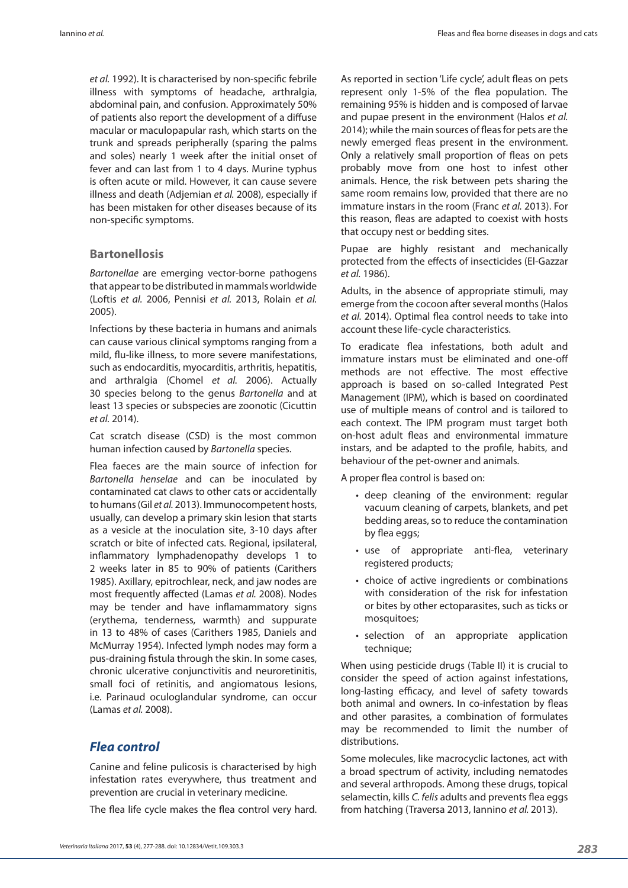*et al.* 1992). It is characterised by non-specific febrile illness with symptoms of headache, arthralgia, abdominal pain, and confusion. Approximately 50% of patients also report the development of a diffuse macular or maculopapular rash, which starts on the trunk and spreads peripherally (sparing the palms and soles) nearly 1 week after the initial onset of fever and can last from 1 to 4 days. Murine typhus is often acute or mild. However, it can cause severe illness and death (Adjemian *et al.* 2008), especially if has been mistaken for other diseases because of its non-specific symptoms.

#### **Bartonellosis**

*Bartonellae* are emerging vector-borne pathogens that appear to be distributed in mammals worldwide (Loftis *et al.* 2006, Pennisi *et al.* 2013, Rolain *et al.* 2005).

Infections by these bacteria in humans and animals can cause various clinical symptoms ranging from a mild, flu-like illness, to more severe manifestations, such as endocarditis, myocarditis, arthritis, hepatitis, and arthralgia (Chomel *et al.* 2006). Actually 30 species belong to the genus *Bartonella* and at least 13 species or subspecies are zoonotic (Cicuttin *et al.* 2014).

Cat scratch disease (CSD) is the most common human infection caused by *Bartonella* species.

Flea faeces are the main source of infection for *Bartonella henselae* and can be inoculated by contaminated cat claws to other cats or accidentally to humans (Gil *et al.* 2013). Immunocompetent hosts, usually, can develop a primary skin lesion that starts as a vesicle at the inoculation site, 3-10 days after scratch or bite of infected cats. Regional, ipsilateral, inflammatory lymphadenopathy develops 1 to 2 weeks later in 85 to 90% of patients (Carithers 1985). Axillary, epitrochlear, neck, and jaw nodes are most frequently affected (Lamas *et al.* 2008). Nodes may be tender and have inflamammatory signs (erythema, tenderness, warmth) and suppurate in 13 to 48% of cases (Carithers 1985, Daniels and McMurray 1954). Infected lymph nodes may form a pus-draining fistula through the skin. In some cases, chronic ulcerative conjunctivitis and neuroretinitis, small foci of retinitis, and angiomatous lesions, i.e. Parinaud oculoglandular syndrome, can occur (Lamas *et al.* 2008).

#### *Flea control*

Canine and feline pulicosis is characterised by high infestation rates everywhere, thus treatment and prevention are crucial in veterinary medicine.

The flea life cycle makes the flea control very hard.

*283 Veterinaria Italiana* 2017, **53** (4), 277-288. doi: 10.12834/VetIt.109.303.3

As reported in section 'Life cycle', adult fleas on pets represent only 1-5% of the flea population. The remaining 95% is hidden and is composed of larvae and pupae present in the environment (Halos *et al.* 2014); while the main sources of fleas for pets are the newly emerged fleas present in the environment. Only a relatively small proportion of fleas on pets probably move from one host to infest other animals. Hence, the risk between pets sharing the same room remains low, provided that there are no immature instars in the room (Franc *et al.* 2013). For this reason, fleas are adapted to coexist with hosts that occupy nest or bedding sites.

Pupae are highly resistant and mechanically protected from the effects of insecticides (El-Gazzar *et al.* 1986).

Adults, in the absence of appropriate stimuli, may emerge from the cocoon after several months (Halos *et al.* 2014). Optimal flea control needs to take into account these life-cycle characteristics.

To eradicate flea infestations, both adult and immature instars must be eliminated and one-off methods are not effective. The most effective approach is based on so-called Integrated Pest Management (IPM), which is based on coordinated use of multiple means of control and is tailored to each context. The IPM program must target both on-host adult fleas and environmental immature instars, and be adapted to the profile, habits, and behaviour of the pet-owner and animals.

A proper flea control is based on:

- deep cleaning of the environment: regular vacuum cleaning of carpets, blankets, and pet bedding areas, so to reduce the contamination by flea eggs;
- use of appropriate anti-flea, veterinary registered products;
- choice of active ingredients or combinations with consideration of the risk for infestation or bites by other ectoparasites, such as ticks or mosquitoes;
- selection of an appropriate application technique:

When using pesticide drugs (Table II) it is crucial to consider the speed of action against infestations, long-lasting efficacy, and level of safety towards both animal and owners. In co-infestation by fleas and other parasites, a combination of formulates may be recommended to limit the number of distributions.

Some molecules, like macrocyclic lactones, act with a broad spectrum of activity, including nematodes and several arthropods. Among these drugs, topical selamectin, kills *C. felis* adults and prevents flea eggs from hatching (Traversa 2013, Iannino *et al.* 2013).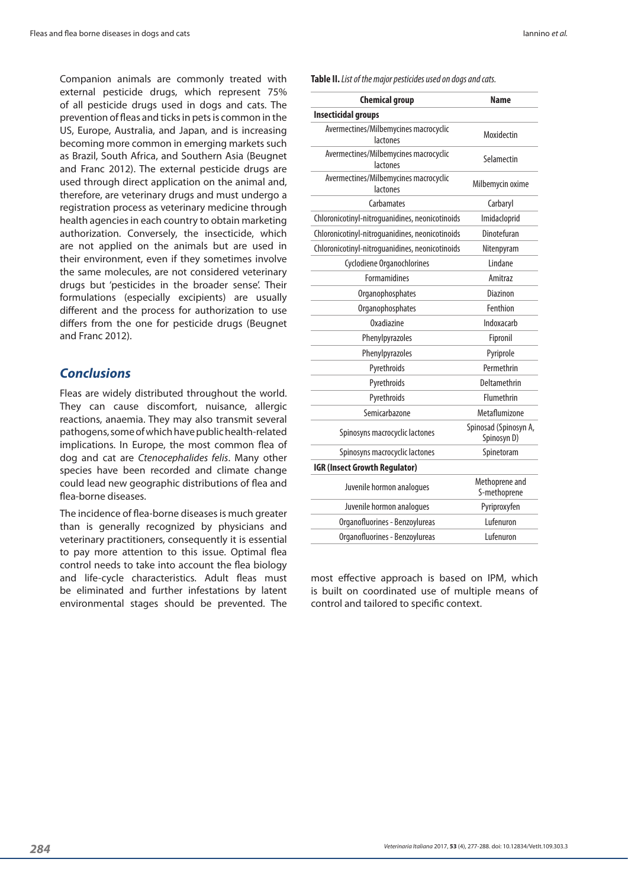Companion animals are commonly treated with external pesticide drugs, which represent 75% of all pesticide drugs used in dogs and cats. The prevention of fleas and ticks in pets is common in the US, Europe, Australia, and Japan, and is increasing becoming more common in emerging markets such as Brazil, South Africa, and Southern Asia (Beugnet and Franc 2012). The external pesticide drugs are used through direct application on the animal and, therefore, are veterinary drugs and must undergo a registration process as veterinary medicine through health agencies in each country to obtain marketing authorization. Conversely, the insecticide, which are not applied on the animals but are used in their environment, even if they sometimes involve the same molecules, are not considered veterinary drugs but 'pesticides in the broader sense'. Their formulations (especially excipients) are usually different and the process for authorization to use differs from the one for pesticide drugs (Beugnet and Franc 2012).

#### *Conclusions*

Fleas are widely distributed throughout the world. They can cause discomfort, nuisance, allergic reactions, anaemia. They may also transmit several pathogens, some of which have public health-related implications. In Europe, the most common flea of dog and cat are *Ctenocephalides felis*. Many other species have been recorded and climate change could lead new geographic distributions of flea and flea-borne diseases.

The incidence of flea-borne diseases is much greater than is generally recognized by physicians and veterinary practitioners, consequently it is essential to pay more attention to this issue. Optimal flea control needs to take into account the flea biology and life-cycle characteristics. Adult fleas must be eliminated and further infestations by latent environmental stages should be prevented. The

**Table II.** *List of the major pesticides used on dogs and cats.*

| <b>Chemical group</b>                             | <b>Name</b>                          |
|---------------------------------------------------|--------------------------------------|
| <b>Insecticidal groups</b>                        |                                      |
| Avermectines/Milbemycines macrocyclic<br>lactones | Moxidectin                           |
| Avermectines/Milbemycines macrocyclic<br>lactones | Selamectin                           |
| Avermectines/Milbemycines macrocyclic<br>lactones | Milbemycin oxime                     |
| Carbamates                                        | Carbaryl                             |
| Chloronicotinyl-nitroguanidines, neonicotinoids   | Imidacloprid                         |
| Chloronicotinyl-nitroguanidines, neonicotinoids   | Dinotefuran                          |
| Chloronicotinyl-nitroguanidines, neonicotinoids   | Nitenpyram                           |
| Cyclodiene Organochlorines                        | I indane                             |
| <b>Formamidines</b>                               | Amitraz                              |
| Organophosphates                                  | Diazinon                             |
| Organophosphates                                  | Fenthion                             |
| Oxadiazine                                        | Indoxacarb                           |
| Phenylpyrazoles                                   | Fipronil                             |
| Phenylpyrazoles                                   | Pyriprole                            |
| Pyrethroids                                       | Permethrin                           |
| Pyrethroids                                       | Deltamethrin                         |
| Pyrethroids                                       | Flumethrin                           |
| Semicarbazone                                     | Metaflumizone                        |
| Spinosyns macrocyclic lactones                    | Spinosad (Spinosyn A,<br>Spinosyn D) |
| Spinosyns macrocyclic lactones                    | Spinetoram                           |
| <b>IGR (Insect Growth Regulator)</b>              |                                      |
| Juvenile hormon analogues                         | Methoprene and<br>S-methoprene       |
| Juvenile hormon analogues                         | Pyriproxyfen                         |
| Organofluorines - Benzoylureas                    | Lufenuron                            |
| Organofluorines - Benzoylureas                    | Lufenuron                            |
|                                                   |                                      |

most effective approach is based on IPM, which is built on coordinated use of multiple means of control and tailored to specific context.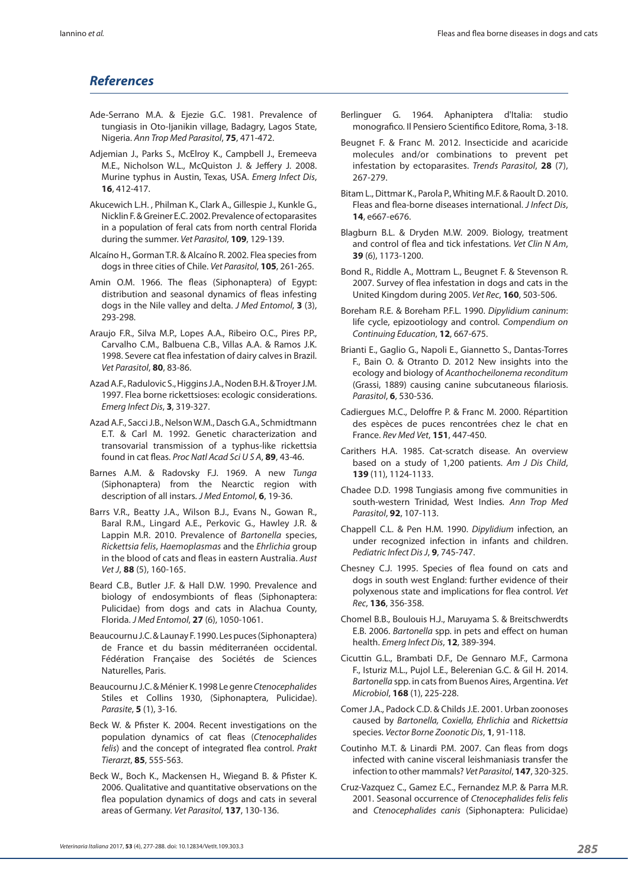## *References*

- Ade-Serrano M.A. & Ejezie G.C. 1981. Prevalence of tungiasis in Oto-Ijanikin village, Badagry, Lagos State, Nigeria. *Ann Trop Med Parasitol*, **75**, 471-472.
- Adjemian J., Parks S., McElroy K., Campbell J., Eremeeva M.E., Nicholson W.L., McQuiston J. & Jeffery J. 2008. Murine typhus in Austin, Texas, USA. *Emerg Infect Dis*, **16**, 412-417.
- Akucewich L.H. , Philman K., Clark A., Gillespie J., Kunkle G., Nicklin F. & Greiner E.C. 2002. Prevalence of ectoparasites in a population of feral cats from north central Florida during the summer. *Vet Parasitol*, **109**, 129-139.
- Alcaíno H., Gorman T.R. & Alcaíno R. 2002. Flea species from dogs in three cities of Chile. *Vet Parasitol*, **105**, 261-265.
- Amin O.M. 1966. The fleas (Siphonaptera) of Egypt: distribution and seasonal dynamics of fleas infesting dogs in the Nile valley and delta. *J Med Entomol*, **3** (3), 293-298.
- Araujo F.R., Silva M.P., Lopes A.A., Ribeiro O.C., Pires P.P., Carvalho C.M., Balbuena C.B., Villas A.A. & Ramos J.K. 1998. Severe cat flea infestation of dairy calves in Brazil. *Vet Parasitol*, **80**, 83-86.
- Azad A.F., Radulovic S., Higgins J.A., Noden B.H. & Troyer J.M. 1997. Flea borne rickettsioses: ecologic considerations. *Emerg Infect Dis*, **3**, 319-327.
- Azad A.F., Sacci J.B., Nelson W.M., Dasch G.A., Schmidtmann E.T. & Carl M. 1992. Genetic characterization and transovarial transmission of a typhus-like rickettsia found in cat fleas. *Proc Natl Acad Sci U S A*, **89**, 43-46.
- Barnes A.M. & Radovsky F.J. 1969. A new *Tunga* (Siphonaptera) from the Nearctic region with description of all instars. *J Med Entomol*, **6**, 19-36.
- Barrs V.R., Beatty J.A., Wilson B.J., Evans N., Gowan R., Baral R.M., Lingard A.E., Perkovic G., Hawley J.R. & Lappin M.R. 2010. Prevalence of *Bartonella* species, *Rickettsia felis*, *Haemoplasmas* and the *Ehrlichia* group in the blood of cats and fleas in eastern Australia. *Aust Vet J*, **88** (5), 160-165.
- Beard C.B., Butler J.F. & Hall D.W. 1990. Prevalence and biology of endosymbionts of fleas (Siphonaptera: Pulicidae) from dogs and cats in Alachua County, Florida. *J Med Entomol*, **27** (6), 1050-1061.
- Beaucournu J.C. & Launay F. 1990. Les puces (Siphonaptera) de France et du bassin méditerranéen occidental. Fédération Française des Sociétés de Sciences Naturelles, Paris.
- Beaucournu J.C. & Ménier K. 1998 Le genre *Ctenocephalides* Stiles et Collins 1930, (Siphonaptera, Pulicidae). *Parasite*, **5** (1), 3-16.
- Beck W. & Pfister K. 2004. Recent investigations on the population dynamics of cat fleas (*Ctenocephalides felis*) and the concept of integrated flea control. *Prakt Tierarzt*, **85**, 555-563.
- Beck W., Boch K., Mackensen H., Wiegand B. & Pfister K. 2006. Qualitative and quantitative observations on the flea population dynamics of dogs and cats in several areas of Germany. *Vet Parasitol*, **137**, 130-136.
- Berlinguer G. 1964. Aphaniptera d'Italia: studio monografico. Il Pensiero Scientifico Editore, Roma, 3-18.
- Beugnet F. & Franc M. 2012. Insecticide and acaricide molecules and/or combinations to prevent pet infestation by ectoparasites. *Trends Parasitol*, **28** (7), 267-279.
- Bitam L., Dittmar K., Parola P., Whiting M.F. & Raoult D. 2010. Fleas and flea-borne diseases international. *J Infect Dis*, **14**, e667-e676.
- Blagburn B.L. & Dryden M.W. 2009. Biology, treatment and control of flea and tick infestations. *Vet Clin N Am*, **39** (6), 1173-1200.
- Bond R., Riddle A., Mottram L., Beugnet F. & Stevenson R. 2007. Survey of flea infestation in dogs and cats in the United Kingdom during 2005. *Vet Rec*, **160**, 503-506.
- Boreham R.E. & Boreham P.F.L. 1990. *Dipylidium caninum*: life cycle, epizootiology and control. *Compendium on Continuing Education*, **12**, 667-675.
- Brianti E., Gaglio G., Napoli E., Giannetto S., Dantas-Torres F., Bain O. & Otranto D. 2012 New insights into the ecology and biology of *Acanthocheilonema reconditum* (Grassi, 1889) causing canine subcutaneous filariosis. *Parasitol*, **6**, 530-536.
- Cadiergues M.C., Deloffre P. & Franc M. 2000. Répartition des espèces de puces rencontrées chez le chat en France. *Rev Med Vet*, **151**, 447-450.
- Carithers H.A. 1985. Cat-scratch disease. An overview based on a study of 1,200 patients. *Am J Dis Child*, **139** (11), 1124-1133.
- Chadee D.D. 1998 Tungiasis among five communities in south-western Trinidad, West Indies. *Ann Trop Med Parasitol*, **92**, 107-113.
- Chappell C.L. & Pen H.M. 1990. *Dipylidium* infection, an under recognized infection in infants and children. *Pediatric Infect Dis J*, **9**, 745-747.
- Chesney C.J. 1995. Species of flea found on cats and dogs in south west England: further evidence of their polyxenous state and implications for flea control. *Vet Rec*, **136**, 356-358.
- Chomel B.B., Boulouis H.J., Maruyama S. & Breitschwerdts E.B. 2006. *Bartonella* spp. in pets and effect on human health. *Emerg Infect Dis*, **12**, 389-394.
- Cicuttin G.L., Brambati D.F., De Gennaro M.F., Carmona F., Isturiz M.L., Pujol L.E., Belerenian G.C. & Gil H. 2014. *Bartonella* spp. in cats from Buenos Aires, Argentina. *Vet Microbiol*, **168** (1), 225-228.
- Comer J.A., Padock C.D. & Childs J.E. 2001. Urban zoonoses caused by *Bartonella, Coxiella, Ehrlichia* and *Rickettsia* species. *Vector Borne Zoonotic Dis*, **1**, 91-118.
- Coutinho M.T. & Linardi P.M. 2007. Can fleas from dogs infected with canine visceral leishmaniasis transfer the infection to other mammals? *Vet Parasitol*, **147**, 320-325.
- Cruz-Vazquez C., Gamez E.C., Fernandez M.P. & Parra M.R. 2001. Seasonal occurrence of *Ctenocephalides felis felis*  and *Ctenocephalides canis* (Siphonaptera: Pulicidae)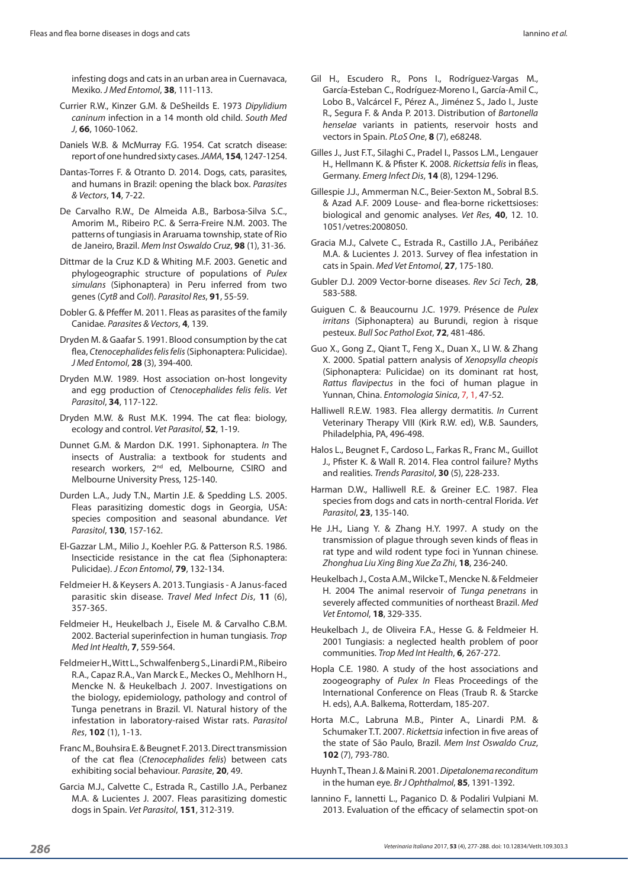infesting dogs and cats in an urban area in Cuernavaca, Mexiko. *J Med Entomol*, **38**, 111-113.

- Currier R.W., Kinzer G.M. & DeSheilds E. 1973 *Dipylidium caninum* infection in a 14 month old child. *South Med J*, **66**, 1060-1062.
- Daniels W.B. & McMurray F.G. 1954. Cat scratch disease: report of one hundred sixty cases. *JAMA*, **154**, 1247-1254.
- Dantas-Torres F. & Otranto D. 2014. Dogs, cats, parasites, and humans in Brazil: opening the black box. *Parasites & Vectors*, **14**, 7-22.
- De Carvalho R.W., De Almeida A.B., Barbosa-Silva S.C., Amorim M., Ribeiro P.C. & Serra-Freire N.M. 2003. The patterns of tungiasis in Araruama township, state of Rio de Janeiro, Brazil. *Mem Inst Oswaldo Cruz*, **98** (1), 31-36.
- Dittmar de la Cruz K.D & Whiting M.F. 2003. Genetic and phylogeographic structure of populations of *Pulex simulans* (Siphonaptera) in Peru inferred from two genes (*CytB* and *CoII*). *Parasitol Res*, **91**, 55-59.
- Dobler G. & Pfeffer M. 2011. Fleas as parasites of the family Canidae. *Parasites & Vectors*, **4**, 139.
- Dryden M. & Gaafar S. 1991. Blood consumption by the cat flea, *Ctenocephalides felis felis* (Siphonaptera: Pulicidae). *J Med Entomol*, **28** (3), 394-400.
- Dryden M.W. 1989. Host association on-host longevity and egg production of *Ctenocephalides felis felis*. *Vet Parasitol*, **34**, 117-122.
- Dryden M.W. & Rust M.K. 1994. The cat flea: biology, ecology and control. *Vet Parasitol*, **52**, 1-19.
- Dunnet G.M. & Mardon D.K. 1991. Siphonaptera. *In* The insects of Australia: a textbook for students and research workers, 2<sup>nd</sup> ed, Melbourne, CSIRO and Melbourne University Press, 125-140.
- Durden L.A., Judy T.N., Martin J.E. & Spedding L.S. 2005. Fleas parasitizing domestic dogs in Georgia, USA: species composition and seasonal abundance. *Vet Parasitol*, **130**, 157-162.
- El-Gazzar L.M., Milio J., Koehler P.G. & Patterson R.S. 1986. Insecticide resistance in the cat flea (Siphonaptera: Pulicidae). *J Econ Entomol*, **79**, 132-134.
- Feldmeier H. & Keysers A. 2013. Tungiasis A Janus-faced parasitic skin disease. *Travel Med Infect Dis*, **11** (6), 357-365.
- Feldmeier H., Heukelbach J., Eisele M. & Carvalho C.B.M. 2002. Bacterial superinfection in human tungiasis. *Trop Med Int Health*, **7**, 559-564.
- Feldmeier H., Witt L., Schwalfenberg S., Linardi P.M., Ribeiro R.A., Capaz R.A., Van Marck E., Meckes O., Mehlhorn H., Mencke N. & Heukelbach J. 2007. Investigations on the biology, epidemiology, pathology and control of Tunga penetrans in Brazil. VI. Natural history of the infestation in laboratory-raised Wistar rats. *Parasitol Res*, **102** (1), 1-13.
- Franc M., Bouhsira E. & Beugnet F. 2013. Direct transmission of the cat flea (*Ctenocephalides felis*) between cats exhibiting social behaviour. *Parasite*, **20**, 49.
- Garcia M.J., Calvette C., Estrada R., Castillo J.A., Perbanez M.A. & Lucientes J. 2007. Fleas parasitizing domestic dogs in Spain. *Vet Parasitol*, **151**, 312-319.
- Gil H., Escudero R., Pons I., Rodríguez-Vargas M., García-Esteban C., Rodríguez-Moreno I., García-Amil C., Lobo B., Valcárcel F., Pérez A., Jiménez S., Jado I., Juste R., Segura F. & Anda P. 2013. Distribution of *Bartonella henselae* variants in patients, reservoir hosts and vectors in Spain. *PLoS One*, **8** (7), e68248.
- Gilles J., Just F.T., Silaghi C., Pradel I., Passos L.M., Lengauer H., Hellmann K. & Pfister K. 2008. *Rickettsia felis* in fleas, Germany. *Emerg Infect Dis*, **14** (8), 1294-1296.
- Gillespie J.J., Ammerman N.C., Beier-Sexton M., Sobral B.S. & Azad A.F. 2009 Louse- and flea-borne rickettsioses: biological and genomic analyses. *Vet Res*, **40**, 12. 10. 1051/vetres:2008050.
- Gracia M.J., Calvete C., Estrada R., Castillo J.A., Peribáñez M.A. & Lucientes J. 2013. Survey of flea infestation in cats in Spain. *Med Vet Entomol*, **27**, 175-180.
- Gubler D.J. 2009 Vector-borne diseases. *Rev Sci Tech*, **28**, 583-588.
- Guiguen C. & Beaucournu J.C. 1979. Présence de *Pulex irritans* (Siphonaptera) au Burundi, region à risque pesteux. *Bull Soc Pathol Exot*, **72**, 481-486.
- Guo X., Gong Z., Qiant T., Feng X., Duan X., LI W. & Zhang X. 2000. Spatial pattern analysis of *Xenopsylla cheopis*  (Siphonaptera: Pulicidae) on its dominant rat host, *Rattus flavipectus* in the foci of human plague in Yunnan, China. *Entomologia Sinica*, 7, 1, 47-52.
- Halliwell R.E.W. 1983. Flea allergy dermatitis. *In* Current Veterinary Therapy VIII (Kirk R.W. ed), W.B. Saunders, Philadelphia, PA, 496-498.
- Halos L., Beugnet F., Cardoso L., Farkas R., Franc M., Guillot J., Pfister K. & Wall R. 2014. Flea control failure? Myths and realities. *Trends Parasitol*, **30** (5), 228-233.
- Harman D.W., Halliwell R.E. & Greiner E.C. 1987. Flea species from dogs and cats in north-central Florida. *Vet Parasitol*, **23**, 135-140.
- He J.H., Liang Y. & Zhang H.Y. 1997. A study on the transmission of plague through seven kinds of fleas in rat type and wild rodent type foci in Yunnan chinese. *Zhonghua Liu Xing Bing Xue Za Zhi*, **18**, 236-240.
- Heukelbach J., Costa A.M., Wilcke T., Mencke N. & Feldmeier H. 2004 The animal reservoir of *Tunga penetrans* in severely affected communities of northeast Brazil. *Med Vet Entomol*, **18**, 329-335.
- Heukelbach J., de Oliveira F.A., Hesse G. & Feldmeier H. 2001 Tungiasis: a neglected health problem of poor communities. *Trop Med Int Health*, **6**, 267-272.
- Hopla C.E. 1980. A study of the host associations and zoogeography of *Pulex In* Fleas Proceedings of the International Conference on Fleas (Traub R. & Starcke H. eds), A.A. Balkema, Rotterdam, 185-207.
- Horta M.C., Labruna M.B., Pinter A., Linardi P.M. & Schumaker T.T. 2007. *Rickettsia* infection in five areas of the state of São Paulo, Brazil. *Mem Inst Oswaldo Cruz*, **102** (7), 793-780.
- Huynh T., Thean J. & Maini R. 2001. *Dipetalonema reconditum* in the human eye. *Br J Ophthalmol*, **85**, 1391-1392.
- Iannino F., Iannetti L., Paganico D. & Podaliri Vulpiani M. 2013. Evaluation of the efficacy of selamectin spot-on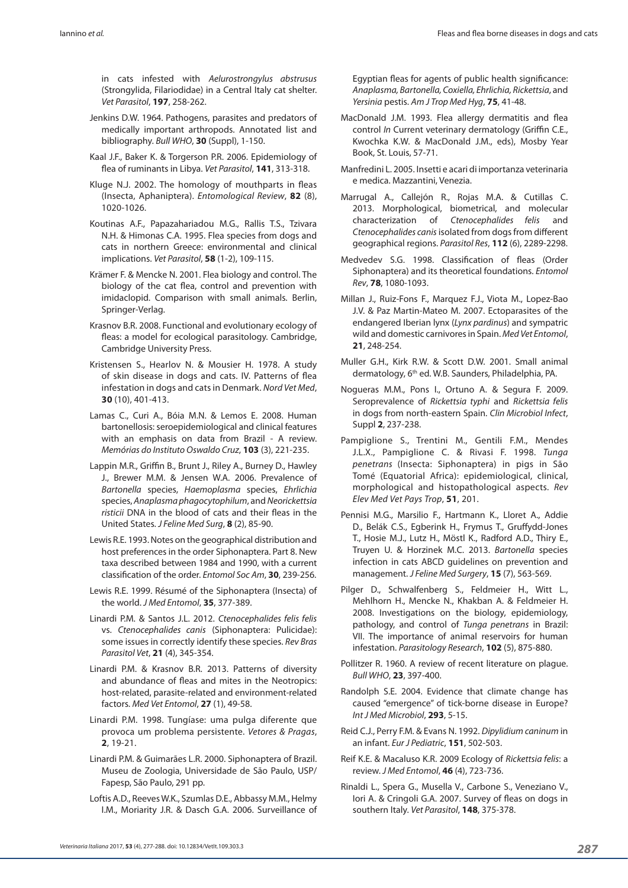in cats infested with *Aelurostrongylus abstrusus*  (Strongylida, Filariodidae) in a Central Italy cat shelter. *Vet Parasitol*, **197**, 258-262.

- Jenkins D.W. 1964. Pathogens, parasites and predators of medically important arthropods. Annotated list and bibliography. *Bull WHO*, **30** (Suppl), 1-150.
- Kaal J.F., Baker K. & Torgerson P.R. 2006. Epidemiology of flea of ruminants in Libya. *Vet Parasitol*, **141**, 313-318.
- Kluge N.J. 2002. The homology of mouthparts in fleas (Insecta, Aphaniptera). *Entomological Review*, **82** (8), 1020-1026.
- Koutinas A.F., Papazahariadou M.G., Rallis T.S., Tzivara N.H. & Himonas C.A. 1995. Flea species from dogs and cats in northern Greece: environmental and clinical implications. *Vet Parasitol*, **58** (1-2), 109-115.
- Krämer F. & Mencke N. 2001. Flea biology and control. The biology of the cat flea, control and prevention with imidaclopid. Comparison with small animals. Berlin, Springer-Verlag.
- Krasnov B.R. 2008. Functional and evolutionary ecology of fleas: a model for ecological parasitology. Cambridge, Cambridge University Press.
- Kristensen S., Hearlov N. & Mousier H. 1978. A study of skin disease in dogs and cats. IV. Patterns of flea infestation in dogs and cats in Denmark. *Nord Vet Med*, **30** (10), 401-413.
- Lamas C., Curi A., Bóia M.N. & Lemos E. 2008. Human bartonellosis: seroepidemiological and clinical features with an emphasis on data from Brazil - A review. *Memórias do Instituto Oswaldo Cruz*, **103** (3), 221-235.
- Lappin M.R., Griffin B., Brunt J., Riley A., Burney D., Hawley J., Brewer M.M. & Jensen W.A. 2006. Prevalence of *Bartonella* species, *Haemoplasma* species, *Ehrlichia* species, *Anaplasma phagocytophilum*, and *Neorickettsia risticii* DNA in the blood of cats and their fleas in the United States. *J Feline Med Surg*, **8** (2), 85-90.
- Lewis R.E. 1993. Notes on the geographical distribution and host preferences in the order Siphonaptera. Part 8. New taxa described between 1984 and 1990, with a current classification of the order. *Entomol Soc Am*, **30**, 239-256.
- Lewis R.E. 1999. Résumé of the Siphonaptera (Insecta) of the world. *J Med Entomol*, **35**, 377-389.
- Linardi P.M. & Santos J.L. 2012. *Ctenocephalides felis felis* vs. *Ctenocephalides canis* (Siphonaptera: Pulicidae): some issues in correctly identify these species. *Rev Bras Parasitol Vet*, **21** (4), 345-354.
- Linardi P.M. & Krasnov B.R. 2013. Patterns of diversity and abundance of fleas and mites in the Neotropics: host-related, parasite-related and environment-related factors. *Med Vet Entomol*, **27** (1), 49-58.
- Linardi P.M. 1998. Tungíase: uma pulga diferente que provoca um problema persistente. *Vetores & Pragas*, **2**, 19-21.
- Linardi P.M. & Guimarães L.R. 2000. Siphonaptera of Brazil. Museu de Zoologia, Universidade de São Paulo, USP/ Fapesp, São Paulo, 291 pp.
- Loftis A.D., Reeves W.K., Szumlas D.E., Abbassy M.M., Helmy I.M., Moriarity J.R. & Dasch G.A. 2006. Surveillance of

Egyptian fleas for agents of public health significance: *Anaplasma, Bartonella, Coxiella, Ehrlichia, Rickettsia*, and *Yersinia* pestis. *Am J Trop Med Hyg*, **75**, 41-48.

- MacDonald J.M. 1993. Flea allergy dermatitis and flea control *In* Current veterinary dermatology (Griffin C.E., Kwochka K.W. & MacDonald J.M., eds), Mosby Year Book, St. Louis, 57-71.
- Manfredini L. 2005. Insetti e acari di importanza veterinaria e medica. Mazzantini, Venezia.
- Marrugal A., Callejón R., Rojas M.A. & Cutillas C. 2013. Morphological, biometrical, and molecular characterization of *Ctenocephalides felis* and *Ctenocephalides canis* isolated from dogs from different geographical regions. *Parasitol Res*, **112** (6), 2289-2298.
- Medvedev S.G. 1998. Classification of fleas (Order Siphonaptera) and its theoretical foundations. *Entomol Rev*, **78**, 1080-1093.
- Millan J., Ruiz-Fons F., Marquez F.J., Viota M., Lopez-Bao J.V. & Paz Martin-Mateo M. 2007. Ectoparasites of the endangered Iberian lynx (*Lynx pardinus*) and sympatric wild and domestic carnivores in Spain. *Med Vet Entomol*, **21**, 248-254.
- Muller G.H., Kirk R.W. & Scott D.W. 2001. Small animal dermatology, 6th ed. W.B. Saunders, Philadelphia, PA.
- Nogueras M.M., Pons I., Ortuno A. & Segura F. 2009. Seroprevalence of *Rickettsia typhi* and *Rickettsia felis*  in dogs from north-eastern Spain. *Clin Microbiol Infect*, Suppl **2**, 237-238.
- Pampiglione S., Trentini M., Gentili F.M., Mendes J.L.X., Pampiglione C. & Rivasi F. 1998. *Tunga penetrans* (Insecta: Siphonaptera) in pigs in São Tomé (Equatorial Africa): epidemiological, clinical, morphological and histopathological aspects. *Rev Elev Med Vet Pays Trop*, **51**, 201.
- Pennisi M.G., Marsilio F., Hartmann K., Lloret A., Addie D., Belák C.S., Egberink H., Frymus T., Gruffydd-Jones T., Hosie M.J., Lutz H., Möstl K., Radford A.D., Thiry E., Truyen U. & Horzinek M.C. 2013. *Bartonella* species infection in cats ABCD guidelines on prevention and management. *J Feline Med Surgery*, **15** (7), 563-569.
- Pilger D., Schwalfenberg S., Feldmeier H., Witt L., Mehlhorn H., Mencke N., Khakban A. & Feldmeier H. 2008. Investigations on the biology, epidemiology, pathology, and control of *Tunga penetrans* in Brazil: VII. The importance of animal reservoirs for human infestation. *Parasitology Research*, **102** (5), 875-880.
- Pollitzer R. 1960. A review of recent literature on plague. *Bull WHO*, **23**, 397-400.
- Randolph S.E. 2004. Evidence that climate change has caused "emergence" of tick-borne disease in Europe? *Int J Med Microbiol*, **293**, 5-15.
- Reid C.J., Perry F.M. & Evans N. 1992. *Dipylidium caninum* in an infant. *Eur J Pediatric*, **151**, 502-503.
- Reif K.E. & Macaluso K.R. 2009 Ecology of *Rickettsia felis*: a review. *J Med Entomol*, **46** (4), 723-736.
- Rinaldi L., Spera G., Musella V., Carbone S., Veneziano V., Iori A. & Cringoli G.A. 2007. Survey of fleas on dogs in southern Italy. *Vet Parasitol*, **148**, 375-378.